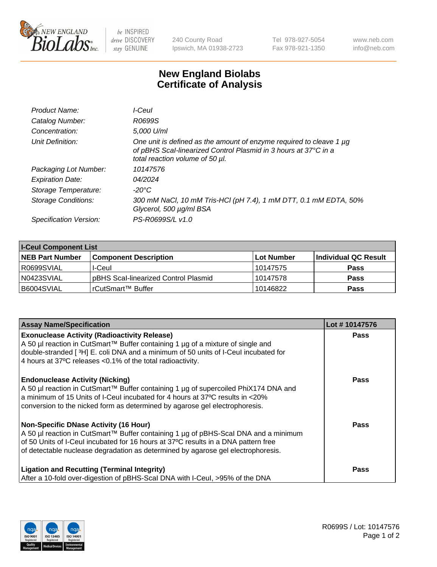

 $be$  INSPIRED drive DISCOVERY stay GENUINE

240 County Road Ipswich, MA 01938-2723 Tel 978-927-5054 Fax 978-921-1350 www.neb.com info@neb.com

## **New England Biolabs Certificate of Analysis**

| Product Name:              | I-Ceul                                                                                                                                                                         |
|----------------------------|--------------------------------------------------------------------------------------------------------------------------------------------------------------------------------|
| Catalog Number:            | R0699S                                                                                                                                                                         |
| Concentration:             | 5,000 U/ml                                                                                                                                                                     |
| Unit Definition:           | One unit is defined as the amount of enzyme required to cleave 1 $\mu$ g<br>of pBHS Scal-linearized Control Plasmid in 3 hours at 37°C in a<br>total reaction volume of 50 µl. |
| Packaging Lot Number:      | 10147576                                                                                                                                                                       |
| <b>Expiration Date:</b>    | 04/2024                                                                                                                                                                        |
| Storage Temperature:       | -20°C                                                                                                                                                                          |
| <b>Storage Conditions:</b> | 300 mM NaCl, 10 mM Tris-HCl (pH 7.4), 1 mM DTT, 0.1 mM EDTA, 50%<br>Glycerol, 500 µg/ml BSA                                                                                    |
| Specification Version:     | PS-R0699S/L v1.0                                                                                                                                                               |
|                            |                                                                                                                                                                                |

| <b>I-Ceul Component List</b> |                                      |            |                      |  |
|------------------------------|--------------------------------------|------------|----------------------|--|
| <b>NEB Part Number</b>       | <b>Component Description</b>         | Lot Number | Individual QC Result |  |
| I R0699SVIAL                 | I-Ceul                               | 10147575   | <b>Pass</b>          |  |
| N0423SVIAL                   | pBHS Scal-linearized Control Plasmid | 10147578   | <b>Pass</b>          |  |
| B6004SVIAL                   | l rCutSmart™ Buffer_                 | 10146822   | <b>Pass</b>          |  |

| <b>Assay Name/Specification</b>                                                                                                                                                                                                                                                                               | Lot #10147576 |
|---------------------------------------------------------------------------------------------------------------------------------------------------------------------------------------------------------------------------------------------------------------------------------------------------------------|---------------|
| <b>Exonuclease Activity (Radioactivity Release)</b><br>A 50 µl reaction in CutSmart™ Buffer containing 1 µg of a mixture of single and<br>double-stranded [3H] E. coli DNA and a minimum of 50 units of I-Ceul incubated for<br>4 hours at 37°C releases < 0.1% of the total radioactivity.                   | <b>Pass</b>   |
| <b>Endonuclease Activity (Nicking)</b><br>A 50 µl reaction in CutSmart™ Buffer containing 1 µg of supercoiled PhiX174 DNA and<br>a minimum of 15 Units of I-Ceul incubated for 4 hours at 37°C results in <20%<br>conversion to the nicked form as determined by agarose gel electrophoresis.                 | <b>Pass</b>   |
| <b>Non-Specific DNase Activity (16 Hour)</b><br>A 50 µl reaction in CutSmart™ Buffer containing 1 µg of pBHS-Scal DNA and a minimum<br>of 50 Units of I-Ceul incubated for 16 hours at 37°C results in a DNA pattern free<br>of detectable nuclease degradation as determined by agarose gel electrophoresis. | Pass          |
| <b>Ligation and Recutting (Terminal Integrity)</b><br>After a 10-fold over-digestion of pBHS-Scal DNA with I-Ceul, >95% of the DNA                                                                                                                                                                            | Pass          |